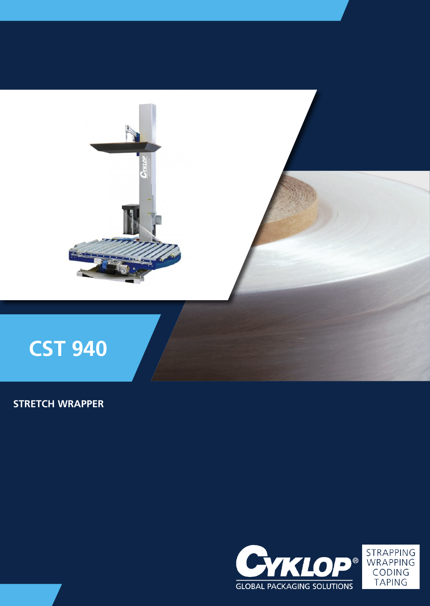

# **STRETCH WRAPPER**